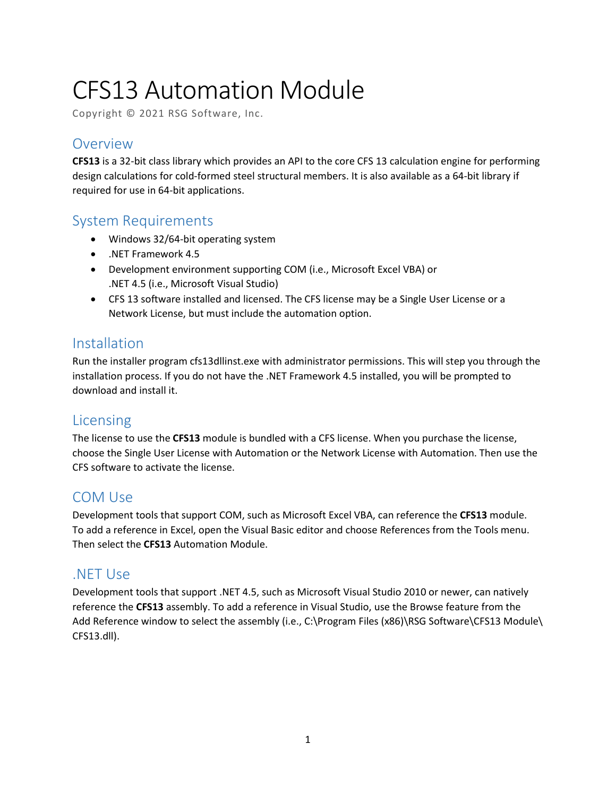# CFS13 Automation Module

Copyright © 2021 RSG Software, Inc.

# **Overview**

**CFS13** is a 32-bit class library which provides an API to the core CFS 13 calculation engine for performing design calculations for cold-formed steel structural members. It is also available as a 64-bit library if required for use in 64-bit applications.

# System Requirements

- Windows 32/64-bit operating system
- .NET Framework 4.5
- Development environment supporting COM (i.e., Microsoft Excel VBA) or .NET 4.5 (i.e., Microsoft Visual Studio)
- CFS 13 software installed and licensed. The CFS license may be a Single User License or a Network License, but must include the automation option.

# Installation

Run the installer program cfs13dllinst.exe with administrator permissions. This will step you through the installation process. If you do not have the .NET Framework 4.5 installed, you will be prompted to download and install it.

# Licensing

The license to use the **CFS13** module is bundled with a CFS license. When you purchase the license, choose the Single User License with Automation or the Network License with Automation. Then use the CFS software to activate the license.

# COM Use

Development tools that support COM, such as Microsoft Excel VBA, can reference the **CFS13** module. To add a reference in Excel, open the Visual Basic editor and choose References from the Tools menu. Then select the **CFS13** Automation Module.

# .NET Use

Development tools that support .NET 4.5, such as Microsoft Visual Studio 2010 or newer, can natively reference the **CFS13** assembly. To add a reference in Visual Studio, use the Browse feature from the Add Reference window to select the assembly (i.e., C:\Program Files (x86)\RSG Software\CFS13 Module\ CFS13.dll).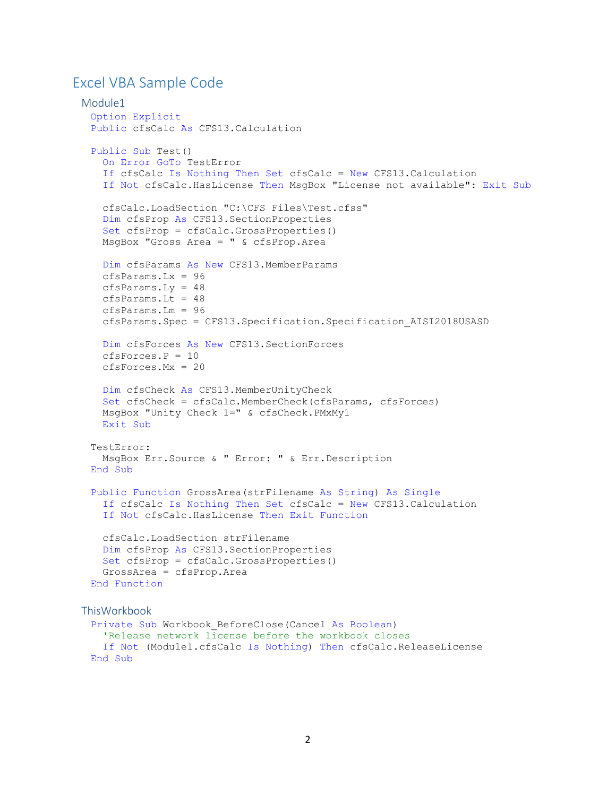# Excel VBA Sample Code

```
Module1
 Option Explicit
 Public cfsCalc As CFS13.Calculation
 Public Sub Test()
    On Error GoTo TestError
    If cfsCalc Is Nothing Then Set cfsCalc = New CFS13.Calculation
    If Not cfsCalc.HasLicense Then MsgBox "License not available": Exit Sub
    cfsCalc.LoadSection "C:\CFS Files\Test.cfss"
    Dim cfsProp As CFS13.SectionProperties
    Set cfsProp = cfsCalc.GrossProperties()
    MsgBox "Gross Area = " & cfsProp.Area
    Dim cfsParams As New CFS13.MemberParams
    cfsParams.Lx = 96
    cfsParams.Ly = 48
   cfsParams.Lt = 48 cfsParams.Lm = 96
    cfsParams.Spec = CFS13.Specification.Specification_AISI2018USASD
    Dim cfsForces As New CFS13.SectionForces
   cfsForces.P = 10 cfsForces.Mx = 20
    Dim cfsCheck As CFS13.MemberUnityCheck
    Set cfsCheck = cfsCalc.MemberCheck(cfsParams, cfsForces)
    MsgBox "Unity Check 1=" & cfsCheck.PMxMy1
    Exit Sub
 TestError:
    MsgBox Err.Source & " Error: " & Err.Description
 End Sub
 Public Function GrossArea(strFilename As String) As Single
    If cfsCalc Is Nothing Then Set cfsCalc = New CFS13.Calculation
    If Not cfsCalc.HasLicense Then Exit Function
    cfsCalc.LoadSection strFilename
    Dim cfsProp As CFS13.SectionProperties
    Set cfsProp = cfsCalc.GrossProperties()
    GrossArea = cfsProp.Area
 End Function
ThisWorkbook
 Private Sub Workbook_BeforeClose(Cancel As Boolean)
    'Release network license before the workbook closes
    If Not (Module1.cfsCalc Is Nothing) Then cfsCalc.ReleaseLicense
 End Sub
```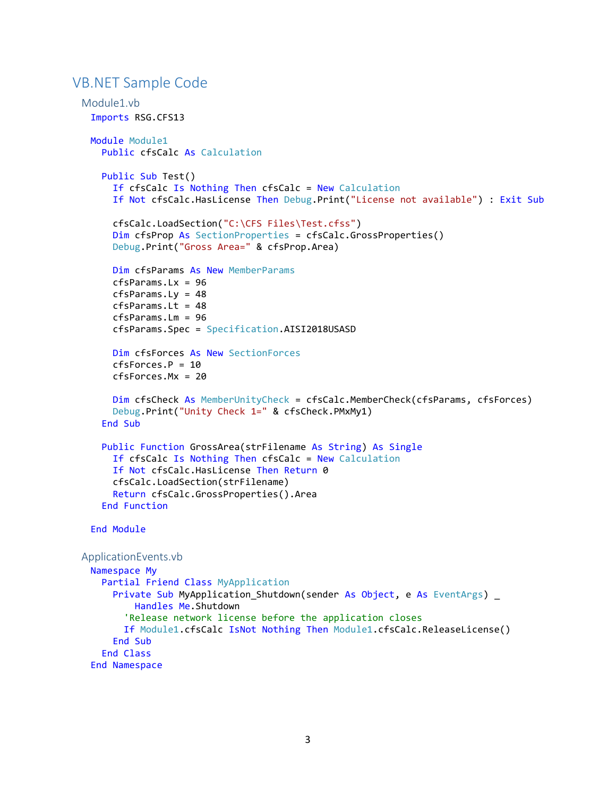# VB.NET Sample Code

```
Module1.vb
 Imports RSG.CFS13
 Module Module1
    Public cfsCalc As Calculation
    Public Sub Test()
     If cfsCalc Is Nothing Then cfsCalc = New Calculation
      If Not cfsCalc.HasLicense Then Debug.Print("License not available") : Exit Sub
      cfsCalc.LoadSection("C:\CFS Files\Test.cfss")
      Dim cfsProp As SectionProperties = cfsCalc.GrossProperties()
      Debug.Print("Gross Area=" & cfsProp.Area)
      Dim cfsParams As New MemberParams
      cfsParams.Lx = 96
      cfsParams.Ly = 48
     cfsParams.Lt = 48
      cfsParams.Lm = 96
      cfsParams.Spec = Specification.AISI2018USASD
      Dim cfsForces As New SectionForces
     cfsForces, P = 10 cfsForces.Mx = 20
      Dim cfsCheck As MemberUnityCheck = cfsCalc.MemberCheck(cfsParams, cfsForces)
      Debug.Print("Unity Check 1=" & cfsCheck.PMxMy1)
    End Sub
    Public Function GrossArea(strFilename As String) As Single
     If cfsCalc Is Nothing Then cfsCalc = New Calculation
      If Not cfsCalc.HasLicense Then Return 0
      cfsCalc.LoadSection(strFilename)
      Return cfsCalc.GrossProperties().Area
    End Function
 End Module
ApplicationEvents.vb
 Namespace My
    Partial Friend Class MyApplication
     Private Sub MyApplication_Shutdown(sender As Object, e As EventArgs) _
          Handles Me.Shutdown
         'Release network license before the application closes
        If Module1.cfsCalc IsNot Nothing Then Module1.cfsCalc.ReleaseLicense()
      End Sub
    End Class
 End Namespace
```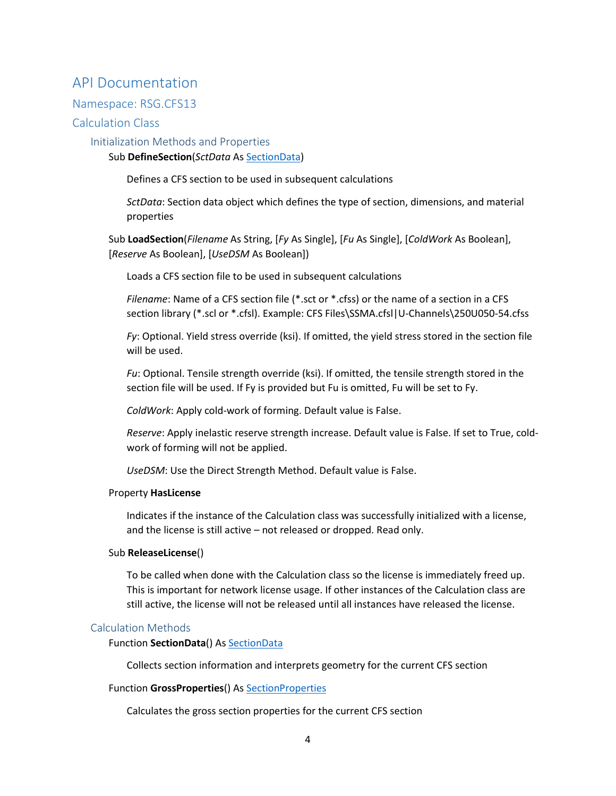# API Documentation

## Namespace: RSG.CFS13

## Calculation Class

## Initialization Methods and Properties

#### Sub **DefineSection**(*SctData* As [SectionData\)](#page-5-0)

Defines a CFS section to be used in subsequent calculations

*SctData*: Section data object which defines the type of section, dimensions, and material properties

Sub **LoadSection**(*Filename* As String, [*Fy* As Single], [*Fu* As Single], [*ColdWork* As Boolean], [*Reserve* As Boolean], [*UseDSM* As Boolean])

Loads a CFS section file to be used in subsequent calculations

*Filename*: Name of a CFS section file (\*.sct or \*.cfss) or the name of a section in a CFS section library (\*.scl or \*.cfsl). Example: CFS Files\SSMA.cfsl|U-Channels\250U050-54.cfss

*Fy*: Optional. Yield stress override (ksi). If omitted, the yield stress stored in the section file will be used.

*Fu*: Optional. Tensile strength override (ksi). If omitted, the tensile strength stored in the section file will be used. If Fy is provided but Fu is omitted, Fu will be set to Fy.

*ColdWork*: Apply cold-work of forming. Default value is False.

*Reserve*: Apply inelastic reserve strength increase. Default value is False. If set to True, coldwork of forming will not be applied.

*UseDSM*: Use the Direct Strength Method. Default value is False.

#### Property **HasLicense**

Indicates if the instance of the Calculation class was successfully initialized with a license, and the license is still active – not released or dropped. Read only.

#### Sub **ReleaseLicense**()

To be called when done with the Calculation class so the license is immediately freed up. This is important for network license usage. If other instances of the Calculation class are still active, the license will not be released until all instances have released the license.

## Calculation Methods

#### Function **SectionData**() As [SectionData](#page-5-0)

Collects section information and interprets geometry for the current CFS section

#### Function **GrossProperties**() As [SectionProperties](#page-5-1)

Calculates the gross section properties for the current CFS section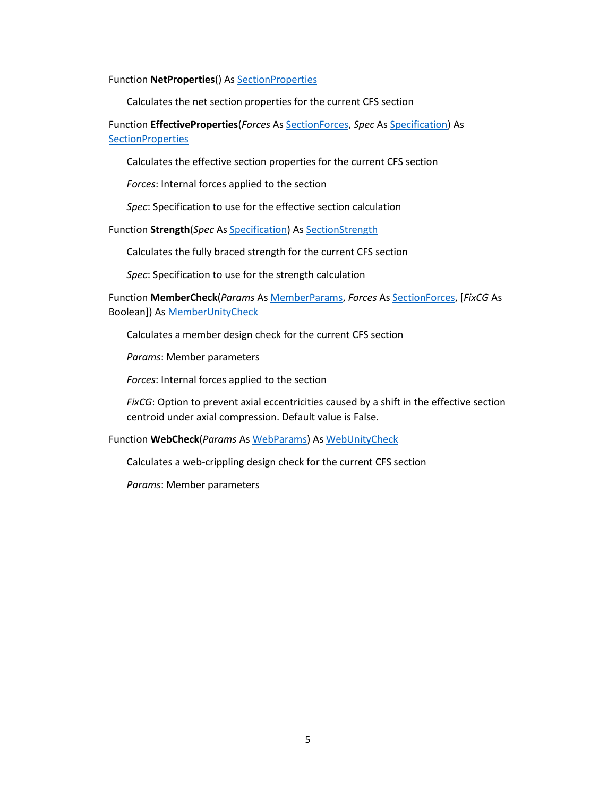#### Function **NetProperties**() As [SectionProperties](#page-5-1)

Calculates the net section properties for the current CFS section

Function **EffectiveProperties**(*Forces* As [SectionForces,](#page-6-0) *Spec* A[s Specification\)](#page-10-0) As **[SectionProperties](#page-5-1)** 

Calculates the effective section properties for the current CFS section

*Forces*: Internal forces applied to the section

*Spec*: Specification to use for the effective section calculation

Function **Strength**(*Spec* A[s Specification\)](#page-10-0) As [SectionStrength](#page-7-0)

Calculates the fully braced strength for the current CFS section

*Spec*: Specification to use for the strength calculation

Function **MemberCheck**(*Params* As [MemberParams,](#page-8-0) *Forces* As [SectionForces,](#page-6-0) [*FixCG* As Boolean]) As [MemberUnityCheck](#page-9-0)

Calculates a member design check for the current CFS section

*Params*: Member parameters

*Forces*: Internal forces applied to the section

*FixCG*: Option to prevent axial eccentricities caused by a shift in the effective section centroid under axial compression. Default value is False.

#### Function **WebCheck**(*Params* As [WebParams\)](#page-9-1) As [WebUnityCheck](#page-9-2)

Calculates a web-crippling design check for the current CFS section

*Params*: Member parameters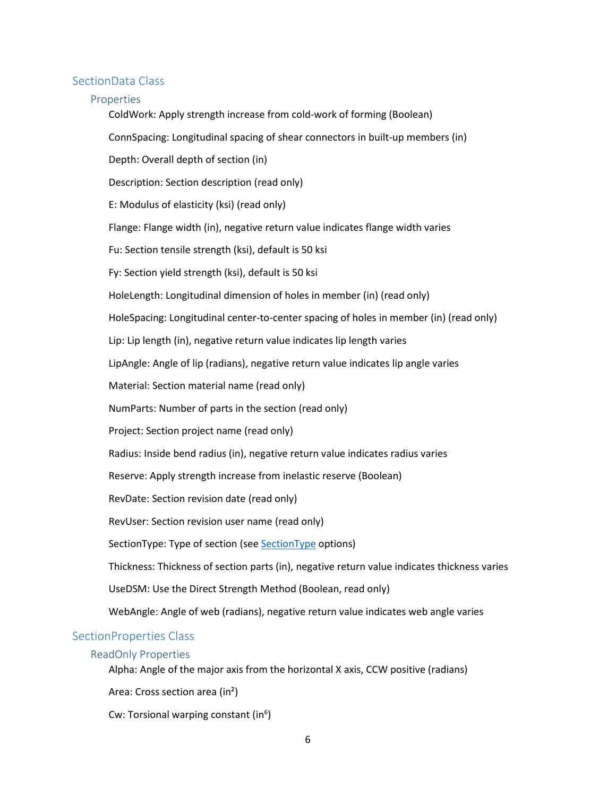#### <span id="page-5-0"></span>SectionData Class

#### Properties

ColdWork: Apply strength increase from cold-work of forming (Boolean)

ConnSpacing: Longitudinal spacing of shear connectors in built-up members (in)

Depth: Overall depth of section (in)

Description: Section description (read only)

E: Modulus of elasticity (ksi) (read only)

Flange: Flange width (in), negative return value indicates flange width varies

Fu: Section tensile strength (ksi), default is 50 ksi

Fy: Section yield strength (ksi), default is 50 ksi

HoleLength: Longitudinal dimension of holes in member (in) (read only)

HoleSpacing: Longitudinal center-to-center spacing of holes in member (in) (read only)

Lip: Lip length (in), negative return value indicates lip length varies

LipAngle: Angle of lip (radians), negative return value indicates lip angle varies

Material: Section material name (read only)

NumParts: Number of parts in the section (read only)

Project: Section project name (read only)

Radius: Inside bend radius (in), negative return value indicates radius varies

Reserve: Apply strength increase from inelastic reserve (Boolean)

RevDate: Section revision date (read only)

RevUser: Section revision user name (read only)

SectionType: Type of section (se[e SectionType](#page-10-1) options)

Thickness: Thickness of section parts (in), negative return value indicates thickness varies

UseDSM: Use the Direct Strength Method (Boolean, read only)

WebAngle: Angle of web (radians), negative return value indicates web angle varies

## <span id="page-5-1"></span>SectionProperties Class

#### ReadOnly Properties

Alpha: Angle of the major axis from the horizontal X axis, CCW positive (radians)

Area: Cross section area (in²)

Cw: Torsional warping constant (in<sup>6</sup>)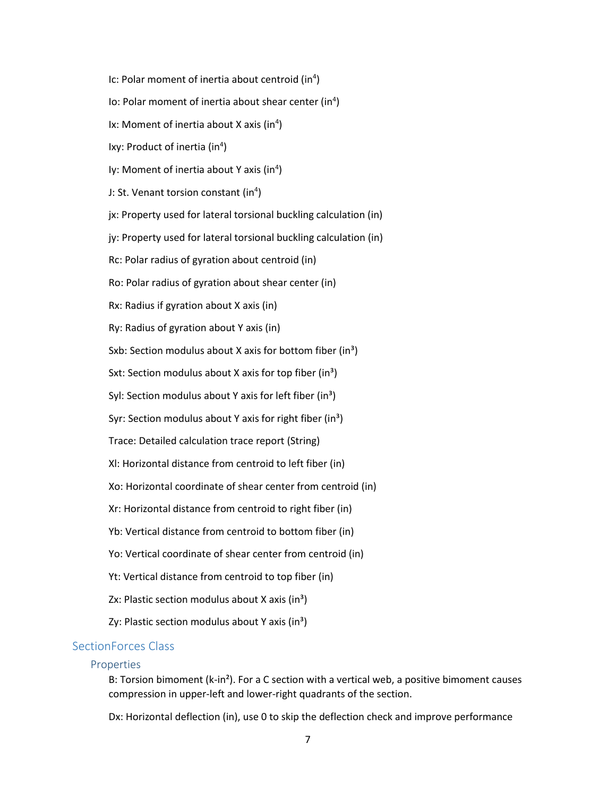- Ic: Polar moment of inertia about centroid (in<sup>4</sup>)
- Io: Polar moment of inertia about shear center (in<sup>4</sup>)
- Ix: Moment of inertia about X axis (in<sup>4</sup>)
- Ixy: Product of inertia (in<sup>4</sup>)
- Iy: Moment of inertia about Y axis (in<sup>4</sup>)
- J: St. Venant torsion constant (in<sup>4</sup>)
- jx: Property used for lateral torsional buckling calculation (in)
- jy: Property used for lateral torsional buckling calculation (in)
- Rc: Polar radius of gyration about centroid (in)
- Ro: Polar radius of gyration about shear center (in)
- Rx: Radius if gyration about X axis (in)
- Ry: Radius of gyration about Y axis (in)
- Sxb: Section modulus about X axis for bottom fiber  $(in^3)$
- Sxt: Section modulus about X axis for top fiber (in<sup>3</sup>)
- Syl: Section modulus about Y axis for left fiber (in<sup>3</sup>)
- Syr: Section modulus about Y axis for right fiber (in<sup>3</sup>)
- Trace: Detailed calculation trace report (String)
- Xl: Horizontal distance from centroid to left fiber (in)
- Xo: Horizontal coordinate of shear center from centroid (in)
- Xr: Horizontal distance from centroid to right fiber (in)
- Yb: Vertical distance from centroid to bottom fiber (in)
- Yo: Vertical coordinate of shear center from centroid (in)
- Yt: Vertical distance from centroid to top fiber (in)
- <span id="page-6-0"></span>Zx: Plastic section modulus about X axis  $(in^3)$
- Zy: Plastic section modulus about Y axis (in<sup>3</sup>)

## SectionForces Class

#### Properties

B: Torsion bimoment (k-in<sup>2</sup>). For a C section with a vertical web, a positive bimoment causes compression in upper-left and lower-right quadrants of the section.

Dx: Horizontal deflection (in), use 0 to skip the deflection check and improve performance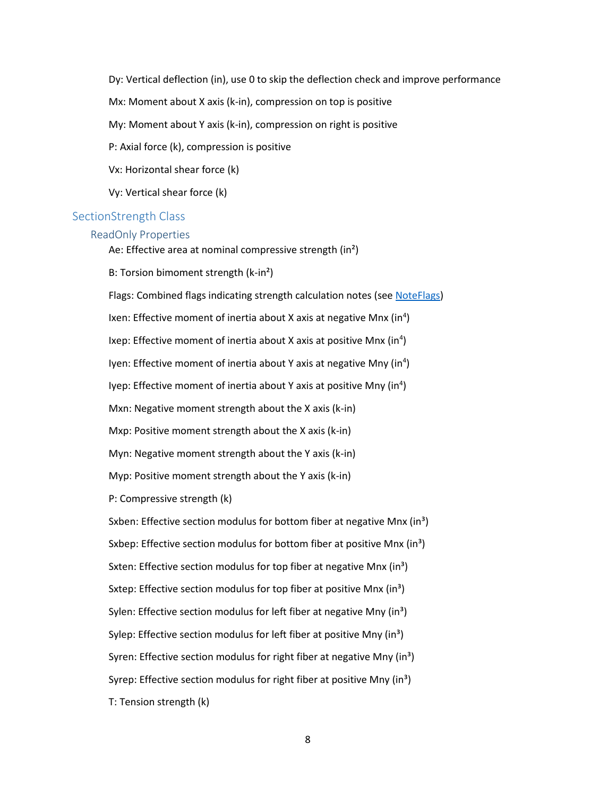Dy: Vertical deflection (in), use 0 to skip the deflection check and improve performance

Mx: Moment about X axis (k-in), compression on top is positive

My: Moment about Y axis (k-in), compression on right is positive

P: Axial force (k), compression is positive

Vx: Horizontal shear force (k)

Vy: Vertical shear force (k)

#### <span id="page-7-0"></span>SectionStrength Class

#### ReadOnly Properties

Ae: Effective area at nominal compressive strength (in<sup>2</sup>)

B: Torsion bimoment strength (k-in²)

Flags: Combined flags indicating strength calculation notes (see [NoteFlags\)](#page-12-0) Ixen: Effective moment of inertia about X axis at negative Mnx (in<sup>4</sup>) Ixep: Effective moment of inertia about X axis at positive Mnx (in<sup>4</sup>) Iyen: Effective moment of inertia about Y axis at negative Mny (in<sup>4</sup>) Iyep: Effective moment of inertia about Y axis at positive Mny (in<sup>4</sup>) Mxn: Negative moment strength about the X axis (k-in) Mxp: Positive moment strength about the X axis (k-in) Myn: Negative moment strength about the Y axis (k-in) Myp: Positive moment strength about the Y axis (k-in) P: Compressive strength (k) Sxben: Effective section modulus for bottom fiber at negative Mnx  $(in<sup>3</sup>)$ Sxbep: Effective section modulus for bottom fiber at positive Mnx  $(in^3)$ Sxten: Effective section modulus for top fiber at negative Mnx  $(in^3)$ Sxtep: Effective section modulus for top fiber at positive Mnx  $(in^3)$ Sylen: Effective section modulus for left fiber at negative Mny (in<sup>3</sup>) Sylep: Effective section modulus for left fiber at positive Mny  $(in^3)$ Syren: Effective section modulus for right fiber at negative Mny  $(in^3)$ Syrep: Effective section modulus for right fiber at positive Mny  $(in^3)$ T: Tension strength (k)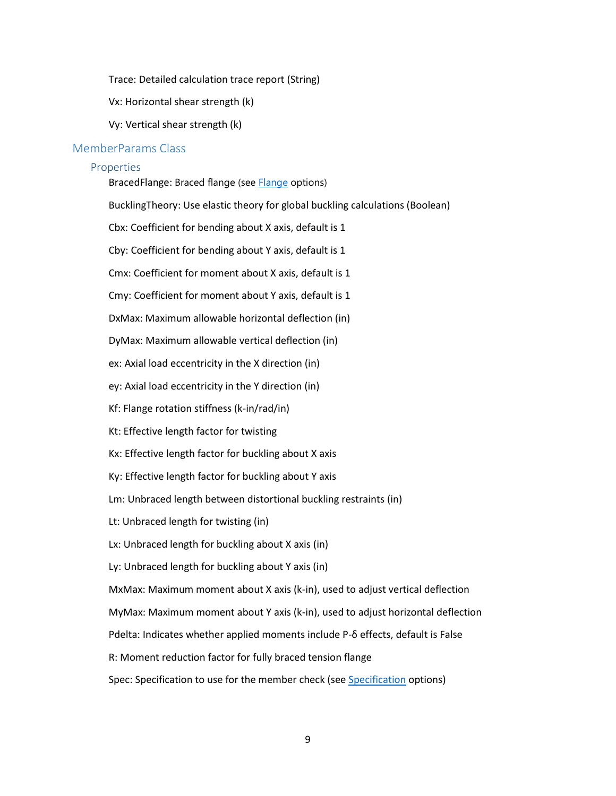Trace: Detailed calculation trace report (String)

Vx: Horizontal shear strength (k)

Vy: Vertical shear strength (k)

#### <span id="page-8-0"></span>MemberParams Class

#### **Properties**

BracedFlange: Braced flange (see **Flange** options)

BucklingTheory: Use elastic theory for global buckling calculations (Boolean)

Cbx: Coefficient for bending about X axis, default is 1

Cby: Coefficient for bending about Y axis, default is 1

Cmx: Coefficient for moment about X axis, default is 1

Cmy: Coefficient for moment about Y axis, default is 1

DxMax: Maximum allowable horizontal deflection (in)

DyMax: Maximum allowable vertical deflection (in)

ex: Axial load eccentricity in the X direction (in)

ey: Axial load eccentricity in the Y direction (in)

Kf: Flange rotation stiffness (k-in/rad/in)

Kt: Effective length factor for twisting

Kx: Effective length factor for buckling about X axis

Ky: Effective length factor for buckling about Y axis

Lm: Unbraced length between distortional buckling restraints (in)

Lt: Unbraced length for twisting (in)

Lx: Unbraced length for buckling about X axis (in)

Ly: Unbraced length for buckling about Y axis (in)

MxMax: Maximum moment about X axis (k-in), used to adjust vertical deflection

MyMax: Maximum moment about Y axis (k-in), used to adjust horizontal deflection

Pdelta: Indicates whether applied moments include P-δ effects, default is False

R: Moment reduction factor for fully braced tension flange

Spec: Specification to use for the member check (se[e Specification](#page-10-0) options)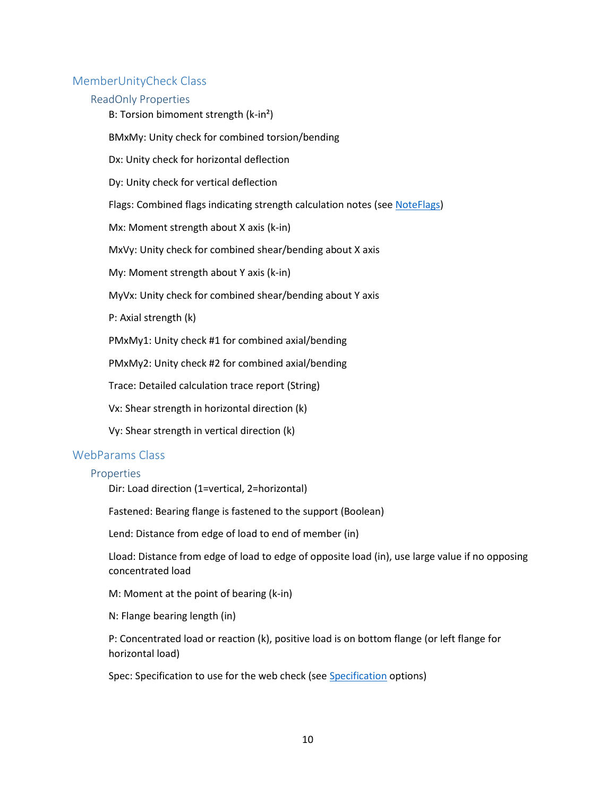## <span id="page-9-0"></span>MemberUnityCheck Class

#### ReadOnly Properties

B: Torsion bimoment strength (k-in²)

BMxMy: Unity check for combined torsion/bending

Dx: Unity check for horizontal deflection

Dy: Unity check for vertical deflection

Flags: Combined flags indicating strength calculation notes (see [NoteFlags\)](#page-12-0)

Mx: Moment strength about X axis (k-in)

MxVy: Unity check for combined shear/bending about X axis

My: Moment strength about Y axis (k-in)

MyVx: Unity check for combined shear/bending about Y axis

P: Axial strength (k)

PMxMy1: Unity check #1 for combined axial/bending

PMxMy2: Unity check #2 for combined axial/bending

Trace: Detailed calculation trace report (String)

Vx: Shear strength in horizontal direction (k)

Vy: Shear strength in vertical direction (k)

## <span id="page-9-1"></span>WebParams Class

#### Properties

Dir: Load direction (1=vertical, 2=horizontal)

Fastened: Bearing flange is fastened to the support (Boolean)

Lend: Distance from edge of load to end of member (in)

Lload: Distance from edge of load to edge of opposite load (in), use large value if no opposing concentrated load

M: Moment at the point of bearing (k-in)

N: Flange bearing length (in)

P: Concentrated load or reaction (k), positive load is on bottom flange (or left flange for horizontal load)

<span id="page-9-2"></span>Spec: Specification to use for the web check (se[e Specification](#page-10-0) options)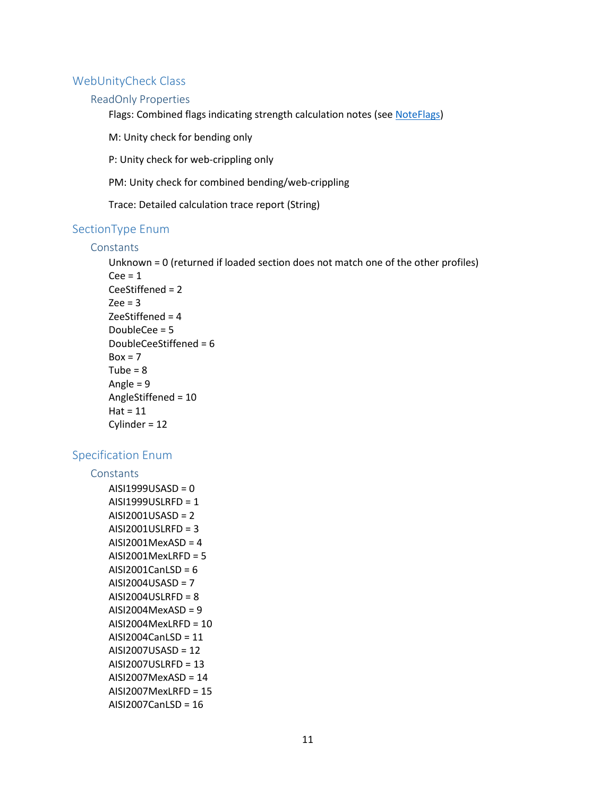## WebUnityCheck Class

## ReadOnly Properties

Flags: Combined flags indicating strength calculation notes (see [NoteFlags\)](#page-12-0)

M: Unity check for bending only

P: Unity check for web-crippling only

PM: Unity check for combined bending/web-crippling

Trace: Detailed calculation trace report (String)

#### <span id="page-10-1"></span>SectionType Enum

#### **Constants**

Unknown = 0 (returned if loaded section does not match one of the other profiles)  $Cee = 1$ CeeStiffened = 2  $Zee = 3$ ZeeStiffened = 4 DoubleCee = 5 DoubleCeeStiffened = 6  $Box = 7$  $Tube = 8$ Angle = 9 AngleStiffened = 10  $Hat = 11$ Cylinder = 12

## <span id="page-10-0"></span>Specification Enum

## **Constants**

 $AISI1999USASD = 0$ AISI1999USLRFD = 1 AISI2001USASD = 2 AISI2001USLRFD = 3 AISI2001MexASD = 4 AISI2001MexLRFD = 5  $AISI2001CanLSD = 6$ AISI2004USASD = 7 AISI2004USLRFD = 8 AISI2004MexASD = 9 AISI2004MexLRFD = 10 AISI2004CanLSD = 11 AISI2007USASD = 12 AISI2007USLRFD = 13 AISI2007MexASD = 14 AISI2007MexLRFD = 15 AISI2007CanLSD = 16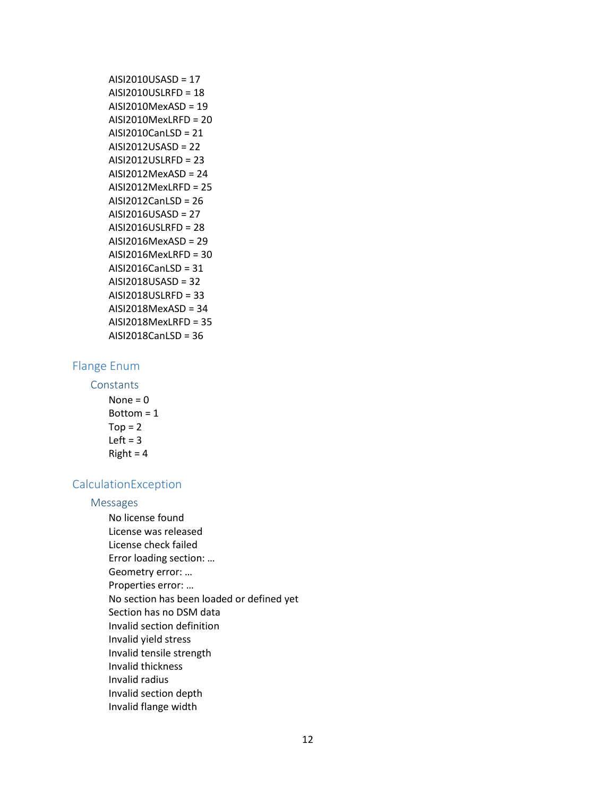| AISI2010USASD = 17        |
|---------------------------|
| AISI2010USLRFD = 18       |
| $AISI2010$ Mex $ASD = 19$ |
| $AISI2010$ MexLRFD = 20   |
| AISI2010CanLSD = 21       |
| AISI2012USASD = 22        |
| $AISI2012USLRFD = 23$     |
| AISI2012MexASD = 24       |
| $AISI2012$ MexLRFD = 25   |
| AISI2012CanLSD = 26       |
| $AISI2016USASD = 27$      |
| $AISI2016USLRFD = 28$     |
| $AISI2016MexASD = 29$     |
| AISI2016MexLRFD = 30      |
| AISI2016CanLSD = 31       |
| AISI2018USASD = 32        |
| AISI2018USLRFD = 33       |
| $AISI2018$ MexASD = 34    |
| AISI2018MexLRFD = 35      |
| AISI2018CanLSD = 36       |

# <span id="page-11-0"></span>Flange Enum

**Constants** 

None  $= 0$ Bottom = 1  $Top = 2$  $Left = 3$  $Right = 4$ 

# CalculationException

#### Messages

No license found License was released License check failed Error loading section: … Geometry error: … Properties error: … No section has been loaded or defined yet Section has no DSM data Invalid section definition Invalid yield stress Invalid tensile strength Invalid thickness Invalid radius Invalid section depth Invalid flange width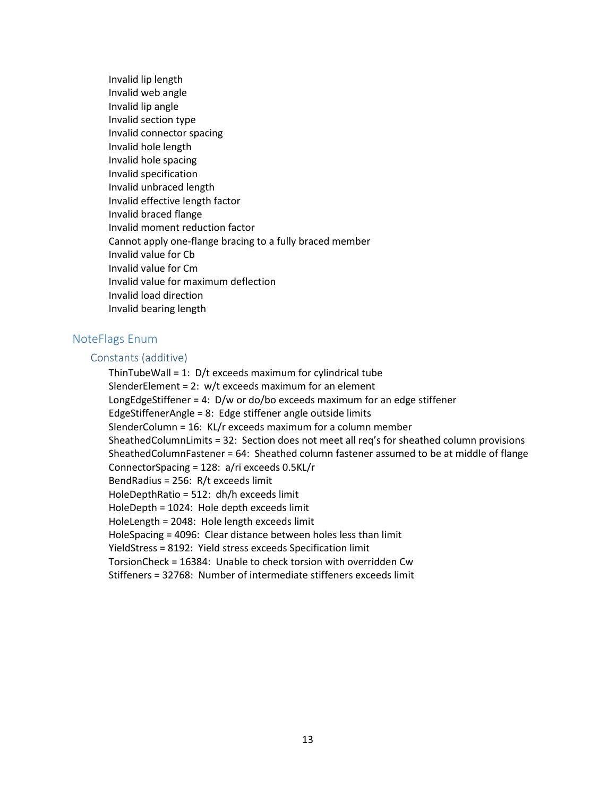Invalid lip length Invalid web angle Invalid lip angle Invalid section type Invalid connector spacing Invalid hole length Invalid hole spacing Invalid specification Invalid unbraced length Invalid effective length factor Invalid braced flange Invalid moment reduction factor Cannot apply one-flange bracing to a fully braced member Invalid value for Cb Invalid value for Cm Invalid value for maximum deflection Invalid load direction Invalid bearing length

## <span id="page-12-0"></span>NoteFlags Enum

#### Constants (additive)

ThinTubeWall = 1: D/t exceeds maximum for cylindrical tube SlenderElement = 2: w/t exceeds maximum for an element LongEdgeStiffener = 4: D/w or do/bo exceeds maximum for an edge stiffener EdgeStiffenerAngle = 8: Edge stiffener angle outside limits SlenderColumn = 16: KL/r exceeds maximum for a column member SheathedColumnLimits = 32: Section does not meet all req's for sheathed column provisions SheathedColumnFastener = 64: Sheathed column fastener assumed to be at middle of flange ConnectorSpacing = 128: a/ri exceeds 0.5KL/r BendRadius = 256: R/t exceeds limit HoleDepthRatio = 512: dh/h exceeds limit HoleDepth = 1024: Hole depth exceeds limit HoleLength = 2048: Hole length exceeds limit HoleSpacing = 4096: Clear distance between holes less than limit YieldStress = 8192: Yield stress exceeds Specification limit TorsionCheck = 16384: Unable to check torsion with overridden Cw Stiffeners = 32768: Number of intermediate stiffeners exceeds limit